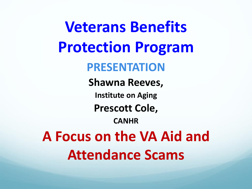**Veterans Benefits Protection Program PRESENTATION Shawna Reeves, Institute on Aging Prescott Cole, CANHR A Focus on the VA Aid and Attendance Scams**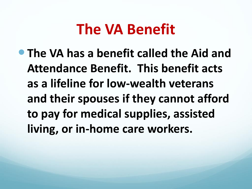### **The VA Benefit**

 **The VA has a benefit called the Aid and Attendance Benefit. This benefit acts as a lifeline for low-wealth veterans and their spouses if they cannot afford to pay for medical supplies, assisted living, or in-home care workers.**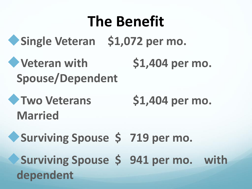### **The Benefit**

**Single Veteran \$1,072 per mo.**

**Veteran with \$1,404 per mo. Spouse/Dependent**

**Two Veterans \$1,404 per mo. Married** 

**Surviving Spouse \$ 719 per mo. Surviving Spouse \$ 941 per mo. with dependent**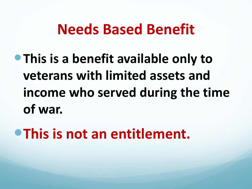### **Needs Based Benefit**

**• This is a benefit available only to veterans with limited assets and income who served during the time of war.** 

**This is not an entitlement.**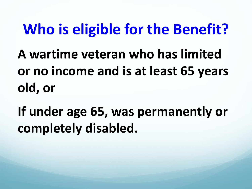### **Who is eligible for the Benefit?**

**A wartime veteran who has limited or no income and is at least 65 years old, or** 

**If under age 65, was permanently or completely disabled.**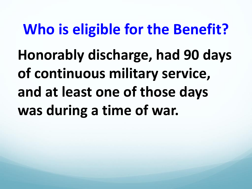## **Who is eligible for the Benefit? Honorably discharge, had 90 days of continuous military service, and at least one of those days was during a time of war.**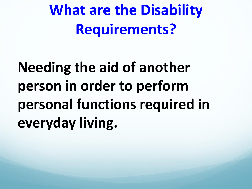**What are the Disability Requirements?**

**Needing the aid of another person in order to perform personal functions required in everyday living.**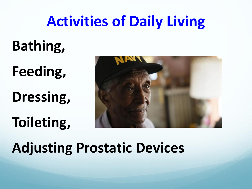### **Activities of Daily Living**

### **Bathing,**

**Feeding,** 

**Dressing,** 

### **Toileting,**



### **Adjusting Prostatic Devices**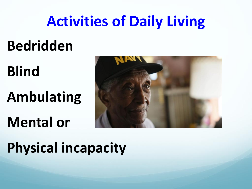### **Activities of Daily Living**

### **Bedridden**

## **Blind Ambulating**

### **Mental or**



### **Physical incapacity**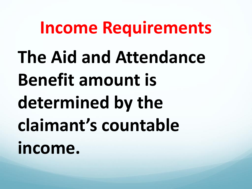### **Income Requirements**

**The Aid and Attendance Benefit amount is determined by the claimant's countable income.**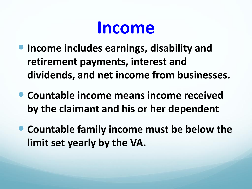### **Income**

- **Income includes earnings, disability and retirement payments, interest and dividends, and net income from businesses.**
- **Countable income means income received by the claimant and his or her dependent**
- **Countable family income must be below the limit set yearly by the VA.**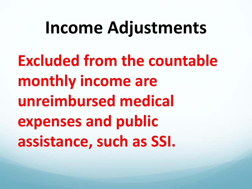### **Income Adjustments**

**Excluded from the countable monthly income are unreimbursed medical expenses and public assistance, such as SSI.**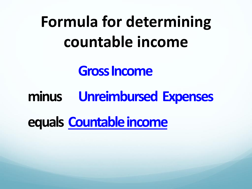## **Formula for determining countable income**

#### **Gross Income**

#### **minus Unreimbursed Expenses**

**equals Countable income**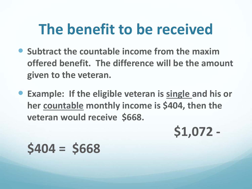### **The benefit to be received**

- **Subtract the countable income from the maxim offered benefit. The difference will be the amount given to the veteran.**
- **Example: If the eligible veteran is single and his or her countable monthly income is \$404, then the veteran would receive \$668.**

**\$1,072 -**

**\$404 = \$668**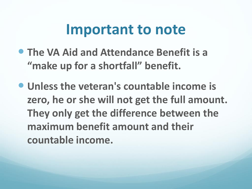#### **Important to note**

- **The VA Aid and Attendance Benefit is a "make up for a shortfall" benefit.**
- **Unless the veteran's countable income is zero, he or she will not get the full amount. They only get the difference between the maximum benefit amount and their countable income.**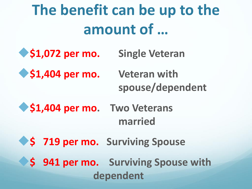### **The benefit can be up to the amount of …**

- **\$1,072 per mo. Single Veteran**
- **\$1,404 per mo. Veteran with**

# **spouse/dependent**

- $\bullet$  **\$1,404 per mo.** Two Veterans **married**
- **\$ 719 per mo.** Surviving Spouse
	- **\$ 941 per mo. Surviving Spouse with dependent**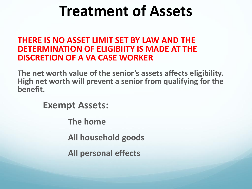### **Treatment of Assets**

#### **THERE IS NO ASSET LIMIT SET BY LAW AND THE DETERMINATION OF ELIGIBIITY IS MADE AT THE DISCRETION OF A VA CASE WORKER**

**The net worth value of the senior's assets affects eligibility. High net worth will prevent a senior from qualifying for the benefit.**

**Exempt Assets:**

**The home**

**All household goods** 

**All personal effects**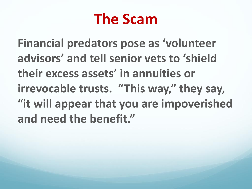### **The Scam**

**Financial predators pose as 'volunteer advisors' and tell senior vets to 'shield their excess assets' in annuities or irrevocable trusts. "This way," they say, "it will appear that you are impoverished and need the benefit."**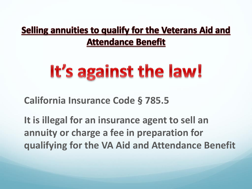#### Selling annuities to qualify for the Veterans Aid and **Attendance Benefit**

## It's against the law!

**California Insurance Code § 785.5** 

**It is illegal for an insurance agent to sell an annuity or charge a fee in preparation for qualifying for the VA Aid and Attendance Benefit**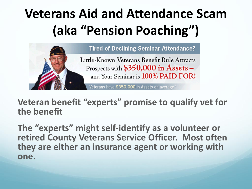### **Veterans Aid and Attendance Scam (aka "Pension Poaching")**



**Veteran benefit "experts" promise to qualify vet for the benefit**

**The "experts" might self-identify as a volunteer or retired County Veterans Service Officer. Most often they are either an insurance agent or working with one.**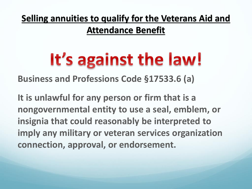#### **Selling annuities to qualify for the Veterans Aid and**

**Attendance Benefit**

## It's against the law!

**Business and Professions Code §17533.6 (a)** 

**It is unlawful for any person or firm that is a nongovernmental entity to use a seal, emblem, or insignia that could reasonably be interpreted to imply any military or veteran services organization connection, approval, or endorsement.**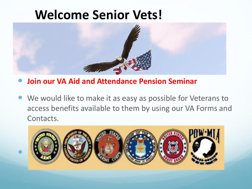#### **Welcome Senior Vets!**



**Join our VA Aid and Attendance Pension Seminar** 

 $\bullet$ 

 We would like to make it as easy as possible for Veterans to access benefits available to them by using our VA Forms and Contacts.

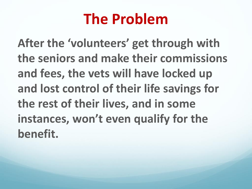### **The Problem**

**After the 'volunteers' get through with the seniors and make their commissions and fees, the vets will have locked up and lost control of their life savings for the rest of their lives, and in some instances, won't even qualify for the benefit.**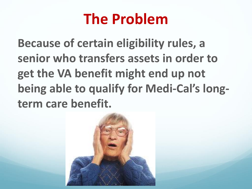### **The Problem**

**Because of certain eligibility rules, a senior who transfers assets in order to get the VA benefit might end up not being able to qualify for Medi-Cal's longterm care benefit.**

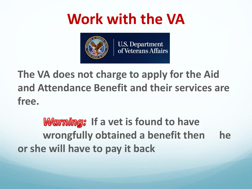### **Work with the VA**



**The VA does not charge to apply for the Aid and Attendance Benefit and their services are free.** 

*Warning:* **If a vet is found to have wrongfully obtained a benefit then he or she will have to pay it back**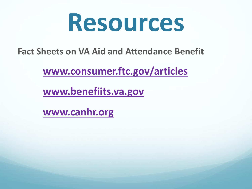## **Resources**

**Fact Sheets on VA Aid and Attendance Benefit**

**[www.consumer.ftc.gov/articles](http://www.consumer.ftc.gov/articles)**

**[www.benefiits.va.gov](http://www.benefiits.va.gov)**

**[www.canhr.org](http://www.canhr.org)**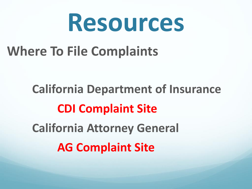## **Resources**

### **Where To File Complaints**

**California Department of Insurance CDI Complaint Site California Attorney General AG Complaint Site**